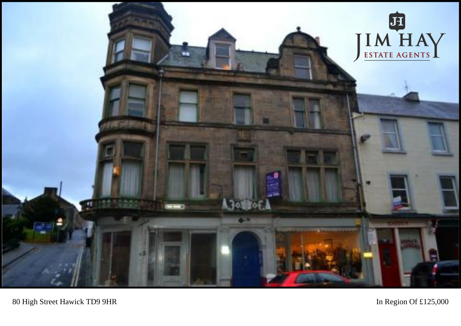

80 High Street Hawick TD9 9HR

In Region Of £125,000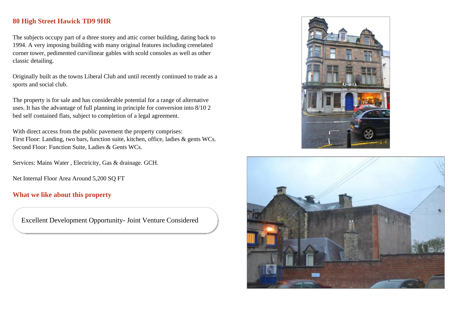## **80 High Street Hawick TD9 9HR**

The subjects occupy part of a three storey and attic corner building, dating back to 1994. A very imposing building with many original features including crenelated corner tower, pedimented curvilinear gables with scold consoles as well as other classic detailing.

Originally built as the towns Liberal Club and until recently continued to trade as a sports and social club.

The property is for sale and has considerable potential for a range of alternative uses. It has the advantage of full planning in principle for conversion into 8/10 2 bed self contained flats, subject to completion of a legal agreement.

With direct access from the public pavement the property comprises: First Floor: Landing, two bars, function suite, kitchen, office, ladies & gents WCs. Second Floor: Function Suite, Ladies & Gents WCs.

Services: Mains Water , Electricity, Gas & drainage. GCH.

Net Internal Floor Area Around 5,200 SQ FT

## **What we like about this property**

Excellent Development Opportunity- Joint Venture Considered



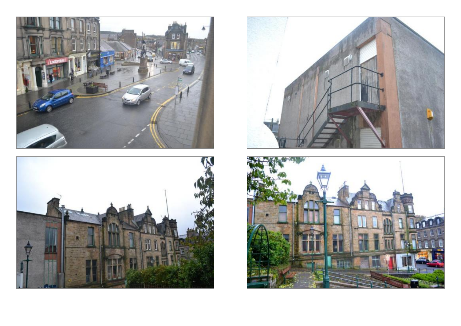